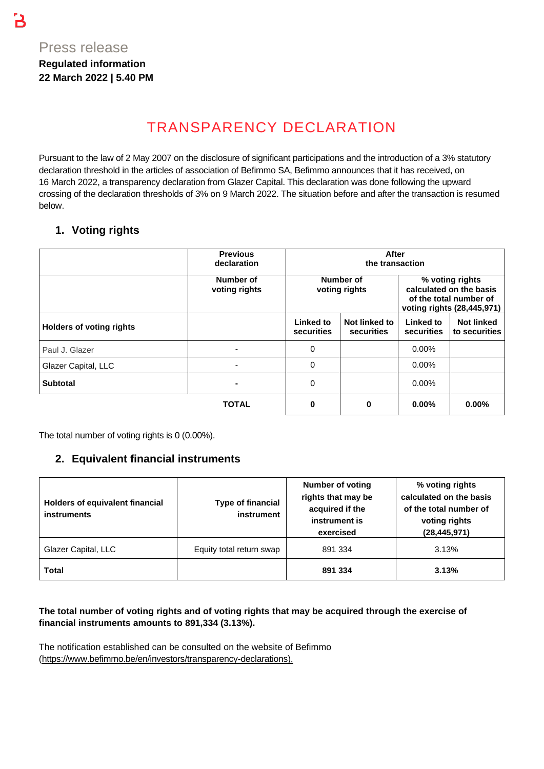B

# TRANSPARENCY DECLARATION

Pursuant to the law of 2 May 2007 on the disclosure of significant participations and the introduction of a 3% statutory declaration threshold in the articles of association of Befimmo SA, Befimmo announces that it has received, on 16 March 2022, a transparency declaration from Glazer Capital. This declaration was done following the upward crossing of the declaration thresholds of 3% on 9 March 2022. The situation before and after the transaction is resumed below.

## **1. Voting rights**

|                                 | <b>Previous</b><br>declaration | After<br>the transaction   |                             |                                                                                                    |                                    |
|---------------------------------|--------------------------------|----------------------------|-----------------------------|----------------------------------------------------------------------------------------------------|------------------------------------|
|                                 | Number of<br>voting rights     | Number of<br>voting rights |                             | % voting rights<br>calculated on the basis<br>of the total number of<br>voting rights (28,445,971) |                                    |
| <b>Holders of voting rights</b> |                                | Linked to<br>securities    | Not linked to<br>securities | Linked to<br>securities                                                                            | <b>Not linked</b><br>to securities |
| Paul J. Glazer                  |                                | $\Omega$                   |                             | $0.00\%$                                                                                           |                                    |
| Glazer Capital, LLC             |                                | $\mathbf 0$                |                             | $0.00\%$                                                                                           |                                    |
| <b>Subtotal</b>                 |                                | 0                          |                             | $0.00\%$                                                                                           |                                    |
|                                 | <b>TOTAL</b>                   | 0                          | 0                           | $0.00\%$                                                                                           | $0.00\%$                           |

The total number of voting rights is 0 (0.00%).

## **2. Equivalent financial instruments**

| Holders of equivalent financial<br><b>instruments</b> | <b>Type of financial</b><br>instrument | <b>Number of voting</b><br>rights that may be<br>acquired if the<br>instrument is<br>exercised | % voting rights<br>calculated on the basis<br>of the total number of<br>voting rights<br>(28, 445, 971) |  |
|-------------------------------------------------------|----------------------------------------|------------------------------------------------------------------------------------------------|---------------------------------------------------------------------------------------------------------|--|
| Glazer Capital, LLC                                   | Equity total return swap               | 891 334                                                                                        | 3.13%                                                                                                   |  |
| Total                                                 |                                        | 891 334                                                                                        | 3.13%                                                                                                   |  |

#### **The total number of voting rights and of voting rights that may be acquired through the exercise of financial instruments amounts to 891,334 (3.13%).**

The notification established can be consulted on the website of Befimmo [\(https://www.befimmo.be/en/investors/transparency-declarations\)](https://www.befimmo.be/en/investors/transparency-declarations).